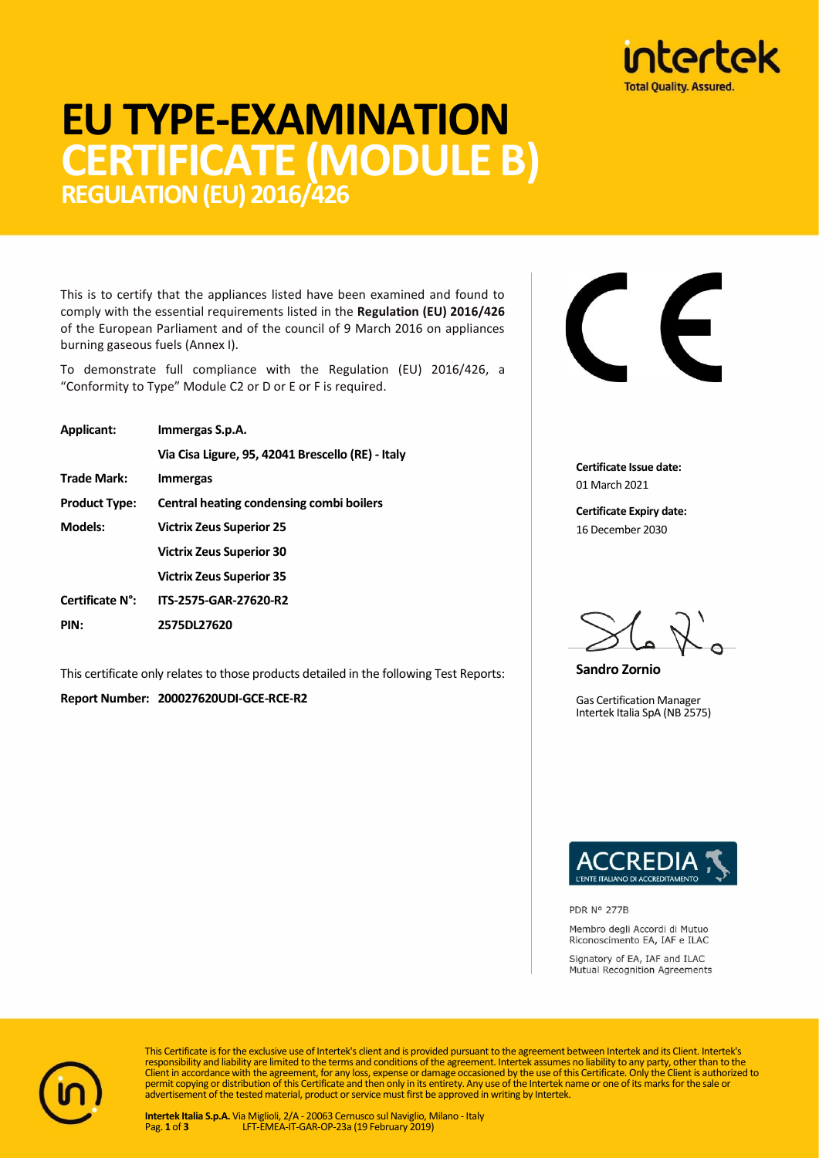

## **EU TYPE-EXAMINATION CERTIFICATE (MODULE B) REGULATION (EU) 2016/426**

This is to certify that the appliances listed have been examined and found to comply with the essential requirements listed in the **Regulation (EU) 2016/426** of the European Parliament and of the council of 9 March 2016 on appliances burning gaseous fuels (Annex I).

To demonstrate full compliance with the Regulation (EU) 2016/426, a "Conformity to Type" Module C2 or D or E or F is required.

| Applicant:           | Immergas S.p.A.                                   |  |  |  |
|----------------------|---------------------------------------------------|--|--|--|
|                      | Via Cisa Ligure, 95, 42041 Brescello (RE) - Italy |  |  |  |
| <b>Trade Mark:</b>   | <b>Immergas</b>                                   |  |  |  |
| <b>Product Type:</b> | Central heating condensing combi boilers          |  |  |  |
| Models:              | <b>Victrix Zeus Superior 25</b>                   |  |  |  |
|                      | <b>Victrix Zeus Superior 30</b>                   |  |  |  |
|                      | <b>Victrix Zeus Superior 35</b>                   |  |  |  |
| Certificate N°:      | ITS-2575-GAR-27620-R2                             |  |  |  |
| PIN:                 | 2575DL27620                                       |  |  |  |

This certificate only relates to those products detailed in the following Test Reports:

**Report Number: 200027620UDI-GCE-RCE-R2**



**Certificate Issue date:** 01 March 2021

**Certificate Expiry date:** 16 December 2030

**Sandro Zornio**

Gas Certification Manager Intertek Italia SpA (NB 2575)



PDR Nº 277B

Membro degli Accordi di Mutuo Riconoscimento EA, IAF e ILAC

Signatory of EA, IAF and ILAC Mutual Recognition Agreements



This Certificate is for the exclusive use of Intertek's client and is provided pursuant to the agreement between Intertek and its Client. Intertek's responsibility and liability are limited to the terms and conditions of the agreement. Intertek assumes no liability to any party, other than to the<br>Client in accordance with the agreement, for any loss, expense or damage permit copying or distribution of this Certificate and then only in its entirety. Any use of the Intertek name or one of its marks for the sale or advertisement of the tested material, product or service must first be approved in writing by Intertek.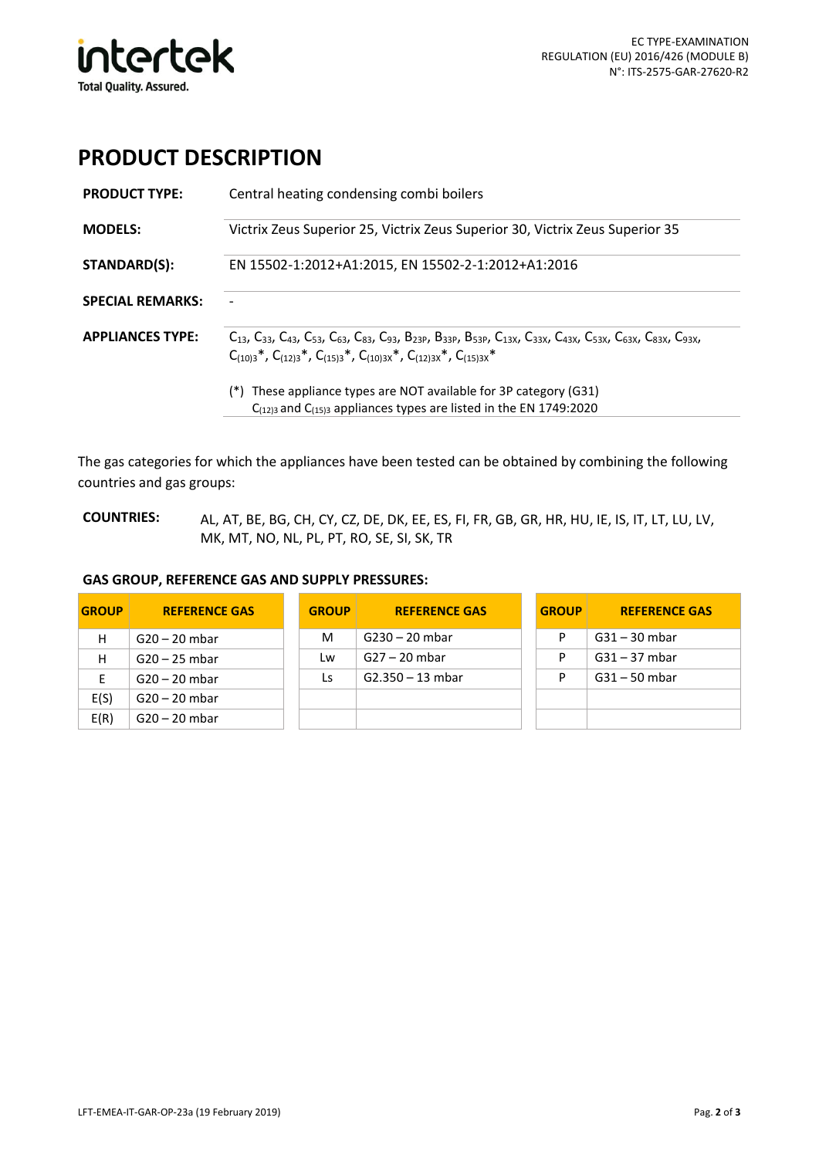

## **PRODUCT DESCRIPTION**

| <b>PRODUCT TYPE:</b>    | Central heating condensing combi boilers                                                                                                                                                                                                                                                             |  |  |  |  |  |
|-------------------------|------------------------------------------------------------------------------------------------------------------------------------------------------------------------------------------------------------------------------------------------------------------------------------------------------|--|--|--|--|--|
| <b>MODELS:</b>          | Victrix Zeus Superior 25, Victrix Zeus Superior 30, Victrix Zeus Superior 35                                                                                                                                                                                                                         |  |  |  |  |  |
| STANDARD(S):            | EN 15502-1:2012+A1:2015, EN 15502-2-1:2012+A1:2016                                                                                                                                                                                                                                                   |  |  |  |  |  |
| <b>SPECIAL REMARKS:</b> |                                                                                                                                                                                                                                                                                                      |  |  |  |  |  |
| <b>APPLIANCES TYPE:</b> | $C_{13}$ , $C_{33}$ , $C_{43}$ , $C_{53}$ , $C_{63}$ , $C_{83}$ , $C_{93}$ , $B_{23}$ , $B_{33}$ , $B_{53}$ , $C_{13}$ , $C_{33}$ , $C_{33}$ , $C_{43}$ , $C_{53}$ , $C_{63}$ , $C_{83}$ , $C_{93}$ ,<br>$C_{(10)3}$ *, $C_{(12)3}$ *, $C_{(15)3}$ *, $C_{(10)3x}$ *, $C_{(12)3x}$ *, $C_{(15)3x}$ * |  |  |  |  |  |
|                         | (*) These appliance types are NOT available for 3P category (G31)<br>$C_{(12)3}$ and $C_{(15)3}$ appliances types are listed in the EN 1749:2020                                                                                                                                                     |  |  |  |  |  |

The gas categories for which the appliances have been tested can be obtained by combining the following countries and gas groups:

**COUNTRIES:** AL, AT, BE, BG, CH, CY, CZ, DE, DK, EE, ES, FI, FR, GB, GR, HR, HU, IE, IS, IT, LT, LU, LV, MK, MT, NO, NL, PL, PT, RO, SE, SI, SK, TR

## **GAS GROUP, REFERENCE GAS AND SUPPLY PRESSURES:**

| <b>GROUP</b> | <b>REFERENCE GAS</b> | <b>GROUP</b> | <b>REFERENCE GAS</b> | <b>GROUP</b> | <b>REFERENCE GAS</b> |
|--------------|----------------------|--------------|----------------------|--------------|----------------------|
| н            | $G20 - 20$ mbar      | M            | $G230 - 20$ mbar     | P            | $G31 - 30$ mbar      |
| Н            | $G20 - 25$ mbar      | Lw           | $G27 - 20$ mbar      | P            | $G31 - 37$ mbar      |
| E            | $G20 - 20$ mbar      | Ls           | $G2.350 - 13$ mbar   | P            | $G31 - 50$ mbar      |
| E(S)         | $G20 - 20$ mbar      |              |                      |              |                      |
| E(R)         | $G20 - 20$ mbar      |              |                      |              |                      |